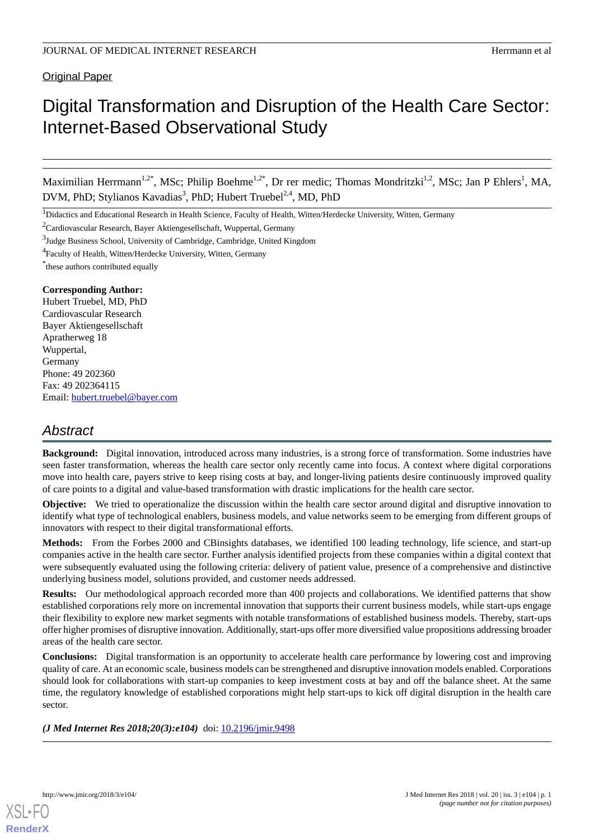Original Paper

# Digital Transformation and Disruption of the Health Care Sector: Internet-Based Observational Study

Maximilian Herrmann<sup>1,2\*</sup>, MSc; Philip Boehme<sup>1,2\*</sup>, Dr rer medic; Thomas Mondritzki<sup>1,2</sup>, MSc; Jan P Ehlers<sup>1</sup>, MA, DVM, PhD; Stylianos Kavadias<sup>3</sup>, PhD; Hubert Truebel<sup>2,4</sup>, MD, PhD

<sup>2</sup>Cardiovascular Research, Bayer Aktiengesellschaft, Wuppertal, Germany

<sup>4</sup> Faculty of Health, Witten/Herdecke University, Witten, Germany

\* these authors contributed equally

### **Corresponding Author:**

Hubert Truebel, MD, PhD Cardiovascular Research Bayer Aktiengesellschaft Apratherweg 18 Wuppertal, Germany Phone: 49 202360 Fax: 49 202364115 Email: [hubert.truebel@bayer.com](mailto:hubert.truebel@bayer.com)

# *Abstract*

**Background:** Digital innovation, introduced across many industries, is a strong force of transformation. Some industries have seen faster transformation, whereas the health care sector only recently came into focus. A context where digital corporations move into health care, payers strive to keep rising costs at bay, and longer-living patients desire continuously improved quality of care points to a digital and value-based transformation with drastic implications for the health care sector.

**Objective:** We tried to operationalize the discussion within the health care sector around digital and disruptive innovation to identify what type of technological enablers, business models, and value networks seem to be emerging from different groups of innovators with respect to their digital transformational efforts.

**Methods:** From the Forbes 2000 and CBinsights databases, we identified 100 leading technology, life science, and start-up companies active in the health care sector. Further analysis identified projects from these companies within a digital context that were subsequently evaluated using the following criteria: delivery of patient value, presence of a comprehensive and distinctive underlying business model, solutions provided, and customer needs addressed.

**Results:** Our methodological approach recorded more than 400 projects and collaborations. We identified patterns that show established corporations rely more on incremental innovation that supports their current business models, while start-ups engage their flexibility to explore new market segments with notable transformations of established business models. Thereby, start-ups offer higher promises of disruptive innovation. Additionally, start-ups offer more diversified value propositions addressing broader areas of the health care sector.

**Conclusions:** Digital transformation is an opportunity to accelerate health care performance by lowering cost and improving quality of care. At an economic scale, business models can be strengthened and disruptive innovation models enabled. Corporations should look for collaborations with start-up companies to keep investment costs at bay and off the balance sheet. At the same time, the regulatory knowledge of established corporations might help start-ups to kick off digital disruption in the health care sector.

*(J Med Internet Res 2018;20(3):e104)* doi: [10.2196/jmir.9498](http://dx.doi.org/10.2196/jmir.9498)

<sup>&</sup>lt;sup>1</sup>Didactics and Educational Research in Health Science, Faculty of Health, Witten/Herdecke University, Witten, Germany

<sup>&</sup>lt;sup>3</sup>Judge Business School, University of Cambridge, Cambridge, United Kingdom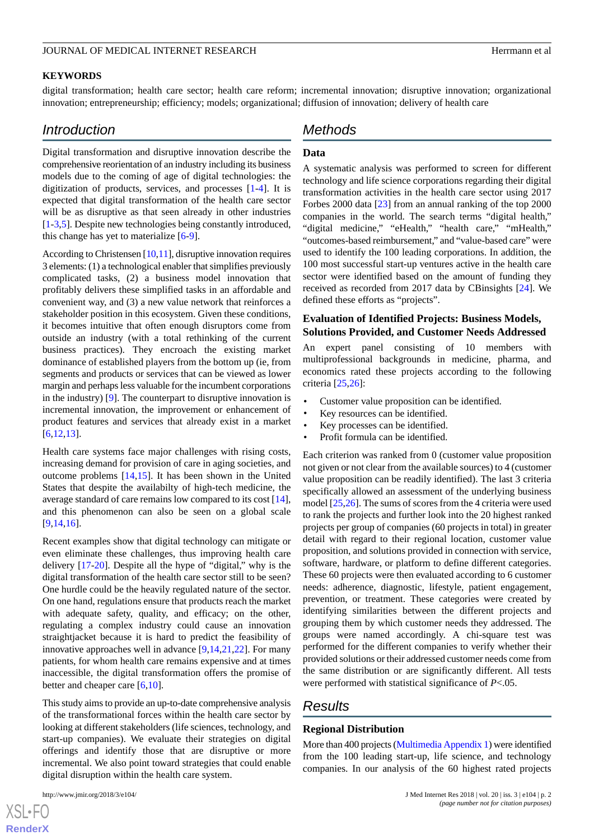### **KEYWORDS**

digital transformation; health care sector; health care reform; incremental innovation; disruptive innovation; organizational innovation; entrepreneurship; efficiency; models; organizational; diffusion of innovation; delivery of health care

# *Introduction*

Digital transformation and disruptive innovation describe the comprehensive reorientation of an industry including its business models due to the coming of age of digital technologies: the digitization of products, services, and processes [[1-](#page-6-0)[4](#page-6-1)]. It is expected that digital transformation of the health care sector will be as disruptive as that seen already in other industries [[1](#page-6-0)[-3](#page-6-2),[5\]](#page-6-3). Despite new technologies being constantly introduced, this change has yet to materialize [\[6](#page-6-4)-[9\]](#page-7-0).

According to Christensen [[10](#page-7-1),[11\]](#page-7-2), disruptive innovation requires 3 elements: (1) a technological enabler that simplifies previously complicated tasks, (2) a business model innovation that profitably delivers these simplified tasks in an affordable and convenient way, and (3) a new value network that reinforces a stakeholder position in this ecosystem. Given these conditions, it becomes intuitive that often enough disruptors come from outside an industry (with a total rethinking of the current business practices). They encroach the existing market dominance of established players from the bottom up (ie, from segments and products or services that can be viewed as lower margin and perhaps less valuable for the incumbent corporations in the industry) [\[9](#page-7-0)]. The counterpart to disruptive innovation is incremental innovation, the improvement or enhancement of product features and services that already exist in a market [[6](#page-6-4)[,12](#page-7-3),[13\]](#page-7-4).

Health care systems face major challenges with rising costs, increasing demand for provision of care in aging societies, and outcome problems [\[14](#page-7-5),[15\]](#page-7-6). It has been shown in the United States that despite the availabilty of high-tech medicine, the average standard of care remains low compared to its cost [[14\]](#page-7-5), and this phenomenon can also be seen on a global scale [[9](#page-7-0)[,14](#page-7-5),[16\]](#page-7-7).

Recent examples show that digital technology can mitigate or even eliminate these challenges, thus improving health care delivery [\[17](#page-7-8)-[20\]](#page-7-9). Despite all the hype of "digital," why is the digital transformation of the health care sector still to be seen? One hurdle could be the heavily regulated nature of the sector. On one hand, regulations ensure that products reach the market with adequate safety, quality, and efficacy; on the other, regulating a complex industry could cause an innovation straightjacket because it is hard to predict the feasibility of innovative approaches well in advance [\[9](#page-7-0),[14](#page-7-5)[,21](#page-7-10),[22\]](#page-7-11). For many patients, for whom health care remains expensive and at times inaccessible, the digital transformation offers the promise of better and cheaper care [[6](#page-6-4)[,10](#page-7-1)].

This study aims to provide an up-to-date comprehensive analysis of the transformational forces within the health care sector by looking at different stakeholders (life sciences, technology, and start-up companies). We evaluate their strategies on digital offerings and identify those that are disruptive or more incremental. We also point toward strategies that could enable digital disruption within the health care system.

 $XS$ -FO **[RenderX](http://www.renderx.com/)**

# *Methods*

### **Data**

A systematic analysis was performed to screen for different technology and life science corporations regarding their digital transformation activities in the health care sector using 2017 Forbes 2000 data [[23\]](#page-7-12) from an annual ranking of the top 2000 companies in the world. The search terms "digital health," "digital medicine," "eHealth," "health care," "mHealth," "outcomes-based reimbursement," and "value-based care" were used to identify the 100 leading corporations. In addition, the 100 most successful start-up ventures active in the health care sector were identified based on the amount of funding they received as recorded from 2017 data by CBinsights [[24\]](#page-7-13). We defined these efforts as "projects".

### **Evaluation of Identified Projects: Business Models, Solutions Provided, and Customer Needs Addressed**

An expert panel consisting of 10 members with multiprofessional backgrounds in medicine, pharma, and economics rated these projects according to the following criteria [[25](#page-7-14)[,26](#page-7-15)]:

- Customer value proposition can be identified.
- Key resources can be identified.
- Key processes can be identified.
- Profit formula can be identified.

Each criterion was ranked from 0 (customer value proposition not given or not clear from the available sources) to 4 (customer value proposition can be readily identified). The last 3 criteria specifically allowed an assessment of the underlying business model [[25](#page-7-14)[,26](#page-7-15)]. The sums of scores from the 4 criteria were used to rank the projects and further look into the 20 highest ranked projects per group of companies (60 projects in total) in greater detail with regard to their regional location, customer value proposition, and solutions provided in connection with service, software, hardware, or platform to define different categories. These 60 projects were then evaluated according to 6 customer needs: adherence, diagnostic, lifestyle, patient engagement, prevention, or treatment. These categories were created by identifying similarities between the different projects and grouping them by which customer needs they addressed. The groups were named accordingly. A chi-square test was performed for the different companies to verify whether their provided solutions or their addressed customer needs come from the same distribution or are significantly different. All tests were performed with statistical significance of *P*<.05.

# *Results*

### **Regional Distribution**

More than 400 projects ([Multimedia Appendix 1\)](#page-6-5) were identified from the 100 leading start-up, life science, and technology companies. In our analysis of the 60 highest rated projects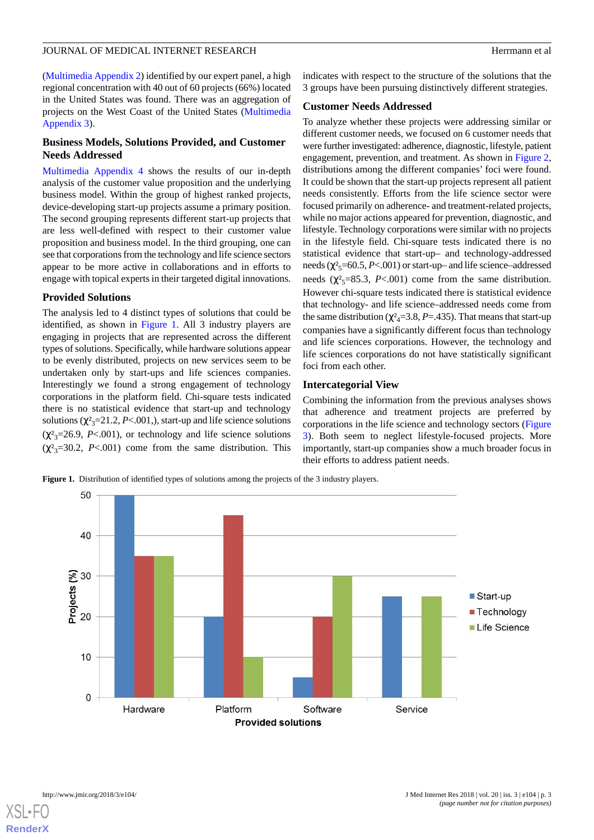([Multimedia Appendix 2](#page-6-6)) identified by our expert panel, a high regional concentration with 40 out of 60 projects (66%) located in the United States was found. There was an aggregation of projects on the West Coast of the United States ([Multimedia](#page-6-7) [Appendix 3\)](#page-6-7).

### **Business Models, Solutions Provided, and Customer Needs Addressed**

[Multimedia Appendix 4](#page-6-8) shows the results of our in-depth analysis of the customer value proposition and the underlying business model. Within the group of highest ranked projects, device-developing start-up projects assume a primary position. The second grouping represents different start-up projects that are less well-defined with respect to their customer value proposition and business model. In the third grouping, one can see that corporations from the technology and life science sectors appear to be more active in collaborations and in efforts to engage with topical experts in their targeted digital innovations.

## **Provided Solutions**

The analysis led to 4 distinct types of solutions that could be identified, as shown in [Figure 1.](#page-2-0) All 3 industry players are engaging in projects that are represented across the different types of solutions. Specifically, while hardware solutions appear to be evenly distributed, projects on new services seem to be undertaken only by start-ups and life sciences companies. Interestingly we found a strong engagement of technology corporations in the platform field. Chi-square tests indicated there is no statistical evidence that start-up and technology solutions ( $\chi^2$ <sub>3</sub>=21.2, *P*<.001, start-up and life science solutions  $(\chi^2_{3}=26.9, P<.001)$ , or technology and life science solutions  $(\chi^2_{3}=30.2, P<.001)$  come from the same distribution. This

indicates with respect to the structure of the solutions that the 3 groups have been pursuing distinctively different strategies.

## **Customer Needs Addressed**

To analyze whether these projects were addressing similar or different customer needs, we focused on 6 customer needs that were further investigated: adherence, diagnostic, lifestyle, patient engagement, prevention, and treatment. As shown in [Figure 2](#page-3-0), distributions among the different companies' foci were found. It could be shown that the start-up projects represent all patient needs consistently. Efforts from the life science sector were focused primarily on adherence- and treatment-related projects, while no major actions appeared for prevention, diagnostic, and lifestyle. Technology corporations were similar with no projects in the lifestyle field. Chi-square tests indicated there is no statistical evidence that start-up– and technology-addressed needs  $(\chi^2$ <sub>5</sub>=60.5, *P*<.001) or start-up– and life science–addressed needs ( $\chi^2$ <sub>5</sub>=85.3, *P*<.001) come from the same distribution. However chi-square tests indicated there is statistical evidence that technology- and life science–addressed needs come from the same distribution ( $\chi^2$ <sub>4</sub>=3.8, *P*=.435). That means that start-up companies have a significantly different focus than technology and life sciences corporations. However, the technology and life sciences corporations do not have statistically significant foci from each other.

# **Intercategorial View**

Combining the information from the previous analyses shows that adherence and treatment projects are preferred by corporations in the life science and technology sectors ([Figure](#page-4-0) [3\)](#page-4-0). Both seem to neglect lifestyle-focused projects. More importantly, start-up companies show a much broader focus in their efforts to address patient needs.

<span id="page-2-0"></span>**Figure 1.** Distribution of identified types of solutions among the projects of the 3 industry players.



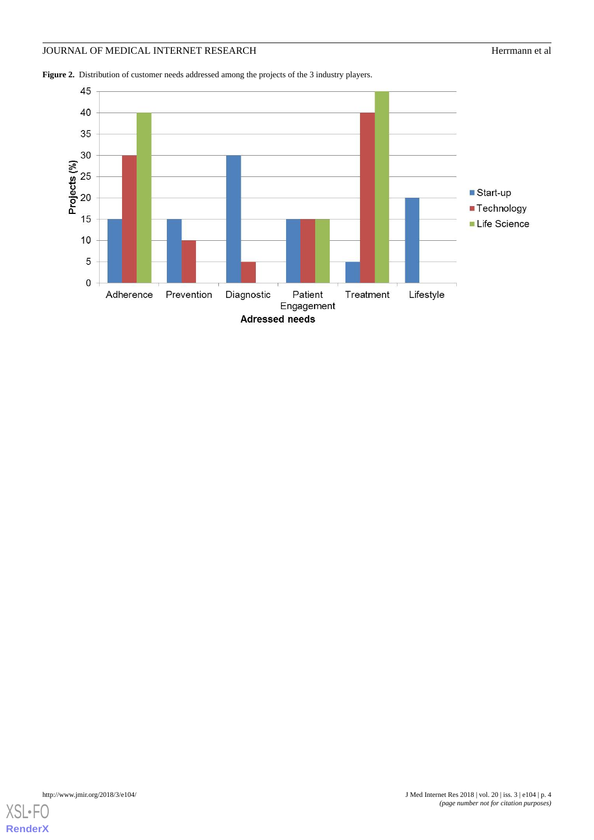<span id="page-3-0"></span>Figure 2. Distribution of customer needs addressed among the projects of the 3 industry players.

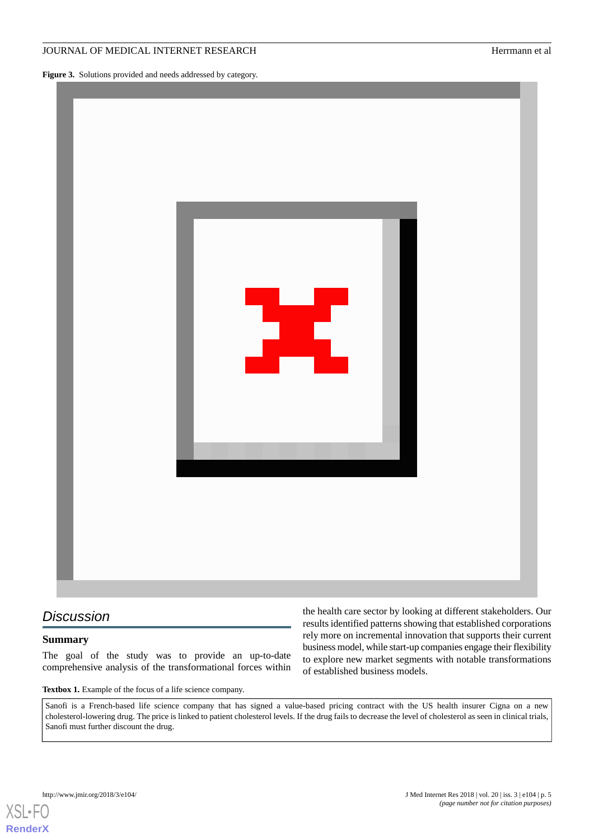<span id="page-4-0"></span>**Figure 3.** Solutions provided and needs addressed by category.



# <span id="page-4-1"></span>*Discussion*

### **Summary**

The goal of the study was to provide an up-to-date comprehensive analysis of the transformational forces within

the health care sector by looking at different stakeholders. Our results identified patterns showing that established corporations rely more on incremental innovation that supports their current business model, while start-up companies engage their flexibility to explore new market segments with notable transformations of established business models.

**Textbox 1.** Example of the focus of a life science company.

Sanofi is a French-based life science company that has signed a value-based pricing contract with the US health insurer Cigna on a new cholesterol-lowering drug. The price is linked to patient cholesterol levels. If the drug fails to decrease the level of cholesterol as seen in clinical trials, Sanofi must further discount the drug.

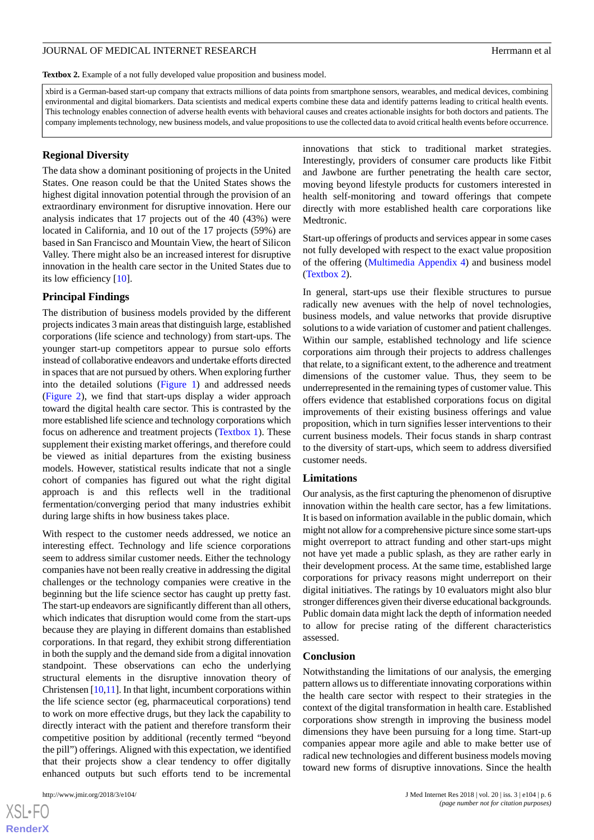<span id="page-5-0"></span>Textbox 2. Example of a not fully developed value proposition and business model.

xbird is a German-based start-up company that extracts millions of data points from smartphone sensors, wearables, and medical devices, combining environmental and digital biomarkers. Data scientists and medical experts combine these data and identify patterns leading to critical health events. This technology enables connection of adverse health events with behavioral causes and creates actionable insights for both doctors and patients. The company implements technology, new business models, and value propositions to use the collected data to avoid critical health events before occurrence.

### **Regional Diversity**

The data show a dominant positioning of projects in the United States. One reason could be that the United States shows the highest digital innovation potential through the provision of an extraordinary environment for disruptive innovation. Here our analysis indicates that 17 projects out of the 40 (43%) were located in California, and 10 out of the 17 projects (59%) are based in San Francisco and Mountain View, the heart of Silicon Valley. There might also be an increased interest for disruptive innovation in the health care sector in the United States due to its low efficiency [[10\]](#page-7-1).

### **Principal Findings**

The distribution of business models provided by the different projects indicates 3 main areas that distinguish large, established corporations (life science and technology) from start-ups. The younger start-up competitors appear to pursue solo efforts instead of collaborative endeavors and undertake efforts directed in spaces that are not pursued by others. When exploring further into the detailed solutions ([Figure 1\)](#page-2-0) and addressed needs ([Figure 2](#page-3-0)), we find that start-ups display a wider approach toward the digital health care sector. This is contrasted by the more established life science and technology corporations which focus on adherence and treatment projects ([Textbox 1](#page-4-1)). These supplement their existing market offerings, and therefore could be viewed as initial departures from the existing business models. However, statistical results indicate that not a single cohort of companies has figured out what the right digital approach is and this reflects well in the traditional fermentation/converging period that many industries exhibit during large shifts in how business takes place.

With respect to the customer needs addressed, we notice an interesting effect. Technology and life science corporations seem to address similar customer needs. Either the technology companies have not been really creative in addressing the digital challenges or the technology companies were creative in the beginning but the life science sector has caught up pretty fast. The start-up endeavors are significantly different than all others, which indicates that disruption would come from the start-ups because they are playing in different domains than established corporations. In that regard, they exhibit strong differentiation in both the supply and the demand side from a digital innovation standpoint. These observations can echo the underlying structural elements in the disruptive innovation theory of Christensen [\[10,](#page-7-1)[11\]](#page-7-2). In that light, incumbent corporations within the life science sector (eg, pharmaceutical corporations) tend to work on more effective drugs, but they lack the capability to directly interact with the patient and therefore transform their competitive position by additional (recently termed "beyond the pill") offerings. Aligned with this expectation, we identified that their projects show a clear tendency to offer digitally enhanced outputs but such efforts tend to be incremental

innovations that stick to traditional market strategies. Interestingly, providers of consumer care products like Fitbit and Jawbone are further penetrating the health care sector, moving beyond lifestyle products for customers interested in health self-monitoring and toward offerings that compete directly with more established health care corporations like Medtronic.

Start-up offerings of products and services appear in some cases not fully developed with respect to the exact value proposition of the offering [\(Multimedia Appendix 4\)](#page-6-8) and business model ([Textbox 2\)](#page-5-0).

In general, start-ups use their flexible structures to pursue radically new avenues with the help of novel technologies, business models, and value networks that provide disruptive solutions to a wide variation of customer and patient challenges. Within our sample, established technology and life science corporations aim through their projects to address challenges that relate, to a significant extent, to the adherence and treatment dimensions of the customer value. Thus, they seem to be underrepresented in the remaining types of customer value. This offers evidence that established corporations focus on digital improvements of their existing business offerings and value proposition, which in turn signifies lesser interventions to their current business models. Their focus stands in sharp contrast to the diversity of start-ups, which seem to address diversified customer needs.

#### **Limitations**

Our analysis, as the first capturing the phenomenon of disruptive innovation within the health care sector, has a few limitations. It is based on information available in the public domain, which might not allow for a comprehensive picture since some start-ups might overreport to attract funding and other start-ups might not have yet made a public splash, as they are rather early in their development process. At the same time, established large corporations for privacy reasons might underreport on their digital initiatives. The ratings by 10 evaluators might also blur stronger differences given their diverse educational backgrounds. Public domain data might lack the depth of information needed to allow for precise rating of the different characteristics assessed.

#### **Conclusion**

Notwithstanding the limitations of our analysis, the emerging pattern allows us to differentiate innovating corporations within the health care sector with respect to their strategies in the context of the digital transformation in health care. Established corporations show strength in improving the business model dimensions they have been pursuing for a long time. Start-up companies appear more agile and able to make better use of radical new technologies and different business models moving toward new forms of disruptive innovations. Since the health

 $XS$ -FO **[RenderX](http://www.renderx.com/)**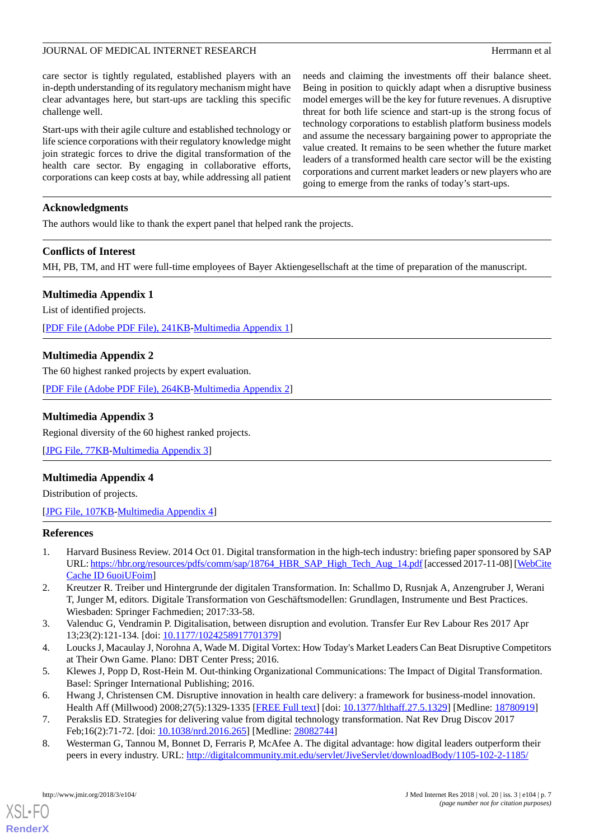care sector is tightly regulated, established players with an in-depth understanding of its regulatory mechanism might have clear advantages here, but start-ups are tackling this specific challenge well.

Start-ups with their agile culture and established technology or life science corporations with their regulatory knowledge might join strategic forces to drive the digital transformation of the health care sector. By engaging in collaborative efforts, corporations can keep costs at bay, while addressing all patient needs and claiming the investments off their balance sheet. Being in position to quickly adapt when a disruptive business model emerges will be the key for future revenues. A disruptive threat for both life science and start-up is the strong focus of technology corporations to establish platform business models and assume the necessary bargaining power to appropriate the value created. It remains to be seen whether the future market leaders of a transformed health care sector will be the existing corporations and current market leaders or new players who are going to emerge from the ranks of today's start-ups.

# **Acknowledgments**

The authors would like to thank the expert panel that helped rank the projects.

# **Conflicts of Interest**

<span id="page-6-5"></span>MH, PB, TM, and HT were full-time employees of Bayer Aktiengesellschaft at the time of preparation of the manuscript.

# **Multimedia Appendix 1**

List of identified projects.

<span id="page-6-6"></span>[[PDF File \(Adobe PDF File\), 241KB-Multimedia Appendix 1](https://jmir.org/api/download?alt_name=jmir_v20i3e104_app1.pdf&filename=86bc1c830a237eb86c17606c5aab9e05.pdf)]

# **Multimedia Appendix 2**

<span id="page-6-7"></span>The 60 highest ranked projects by expert evaluation.

[[PDF File \(Adobe PDF File\), 264KB-Multimedia Appendix 2](https://jmir.org/api/download?alt_name=jmir_v20i3e104_app2.pdf&filename=e07891f62098b00a3512af7b6fe557f4.pdf)]

# **Multimedia Appendix 3**

<span id="page-6-8"></span>Regional diversity of the 60 highest ranked projects.

[[JPG File, 77KB-Multimedia Appendix 3\]](https://jmir.org/api/download?alt_name=jmir_v20i3e104_app3.jpg&filename=9692bab57cd3f094e10d2cd8e97d9917.jpg)

# **Multimedia Appendix 4**

<span id="page-6-0"></span>Distribution of projects.

[[JPG File, 107KB](https://jmir.org/api/download?alt_name=jmir_v20i3e104_app4.jpg&filename=121f09397806dd442daba5a73df379b4.jpg)-[Multimedia Appendix 4\]](https://jmir.org/api/download?alt_name=jmir_v20i3e104_app4.jpg&filename=121f09397806dd442daba5a73df379b4.jpg)

### **References**

- <span id="page-6-2"></span>1. Harvard Business Review. 2014 Oct 01. Digital transformation in the high-tech industry: briefing paper sponsored by SAP URL: [https://hbr.org/resources/pdfs/comm/sap/18764\\_HBR\\_SAP\\_High\\_Tech\\_Aug\\_14.pdf](https://hbr.org/resources/pdfs/comm/sap/18764_HBR_SAP_High_Tech_Aug_14.pdf) [accessed 2017-11-08] [[WebCite](http://www.webcitation.org/

                                6uoiUFoim) [Cache ID 6uoiUFoim](http://www.webcitation.org/

                                6uoiUFoim)]
- <span id="page-6-3"></span><span id="page-6-1"></span>2. Kreutzer R. Treiber und Hintergrunde der digitalen Transformation. In: Schallmo D, Rusnjak A, Anzengruber J, Werani T, Junger M, editors. Digitale Transformation von Geschäftsmodellen: Grundlagen, Instrumente und Best Practices. Wiesbaden: Springer Fachmedien; 2017:33-58.
- <span id="page-6-4"></span>3. Valenduc G, Vendramin P. Digitalisation, between disruption and evolution. Transfer Eur Rev Labour Res 2017 Apr 13;23(2):121-134. [doi: [10.1177/1024258917701379\]](http://dx.doi.org/10.1177/1024258917701379)
- 4. Loucks J, Macaulay J, Norohna A, Wade M. Digital Vortex: How Today's Market Leaders Can Beat Disruptive Competitors at Their Own Game. Plano: DBT Center Press; 2016.
- 5. Klewes J, Popp D, Rost-Hein M. Out-thinking Organizational Communications: The Impact of Digital Transformation. Basel: Springer International Publishing; 2016.
- 6. Hwang J, Christensen CM. Disruptive innovation in health care delivery: a framework for business-model innovation. Health Aff (Millwood) 2008;27(5):1329-1335 [[FREE Full text](http://content.healthaffairs.org/cgi/pmidlookup?view=long&pmid=18780919)] [doi: [10.1377/hlthaff.27.5.1329](http://dx.doi.org/10.1377/hlthaff.27.5.1329)] [Medline: [18780919](http://www.ncbi.nlm.nih.gov/entrez/query.fcgi?cmd=Retrieve&db=PubMed&list_uids=18780919&dopt=Abstract)]
- 7. Perakslis ED. Strategies for delivering value from digital technology transformation. Nat Rev Drug Discov 2017 Feb;16(2):71-72. [doi: [10.1038/nrd.2016.265](http://dx.doi.org/10.1038/nrd.2016.265)] [Medline: [28082744\]](http://www.ncbi.nlm.nih.gov/entrez/query.fcgi?cmd=Retrieve&db=PubMed&list_uids=28082744&dopt=Abstract)
- 8. Westerman G, Tannou M, Bonnet D, Ferraris P, McAfee A. The digital advantage: how digital leaders outperform their peers in every industry. URL: [http://digitalcommunity.mit.edu/servlet/JiveServlet/downloadBody/1105-102-2-1185/](http://digitalcommunity.mit.edu/servlet/JiveServlet/downloadBody/1105-102-2-1185/The_Digital_Advantage__How_Digital_Leaders_Outperform_their_Peers_in_Every_Industry.pdf)

[XSL](http://www.w3.org/Style/XSL)•FO **[RenderX](http://www.renderx.com/)**